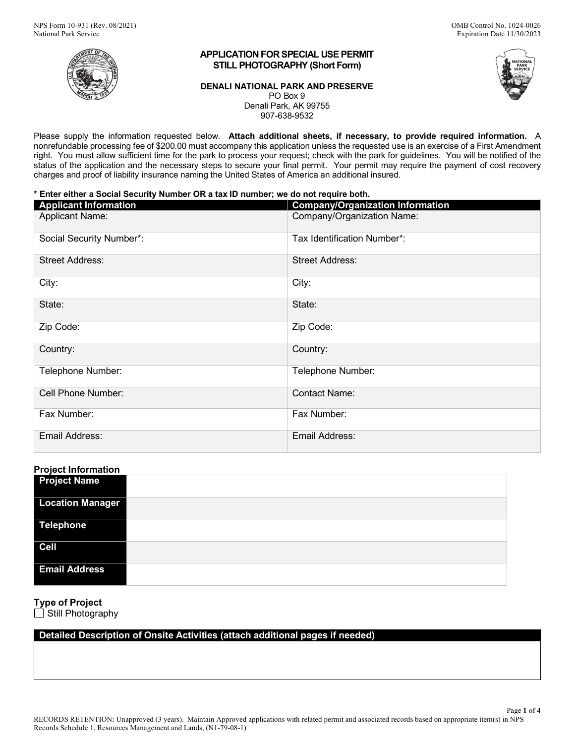

# **APPLICATION FOR SPECIAL USE PERMIT STILL PHOTOGRAPHY (Short Form)**

### **DENALI NATIONAL PARK AND PRESERVE**  PO Box 9 Denali Park, AK 99755 907-638-9532

 Please supply the information requested below. **Attach additional sheets, if necessary, to provide required information.** A right. You must allow sufficient time for the park to process your request; check with the park for guidelines. You will be notified of the status of the application and the necessary steps to secure your final permit. Your permit may require the payment of cost recovery charges and proof of liability insurance naming the United States of America an additional insured. nonrefundable processing fee of \$200.00 must accompany this application unless the requested use is an exercise of a First Amendment

# **\* Enter either a Social Security Number OR a tax ID number; we do not require both.**

| <b>Applicant Information</b> | <b>Company/Organization Information</b> |
|------------------------------|-----------------------------------------|
| <b>Applicant Name:</b>       | Company/Organization Name:              |
| Social Security Number*:     | Tax Identification Number*:             |
| <b>Street Address:</b>       | <b>Street Address:</b>                  |
| City:                        | City:                                   |
| State:                       | State:                                  |
| Zip Code:                    | Zip Code:                               |
| Country:                     | Country:                                |
| Telephone Number:            | Telephone Number:                       |
| Cell Phone Number:           | <b>Contact Name:</b>                    |
| Fax Number:                  | Fax Number:                             |
| Email Address:               | Email Address:                          |

# **Project Information**

| <b>Project Name</b>     |  |
|-------------------------|--|
| <b>Location Manager</b> |  |
| <b>Telephone</b>        |  |
| <b>Cell</b>             |  |
| <b>Email Address</b>    |  |

# **Type of Project**

Still Photography

# **Detailed Description of Onsite Activities (attach additional pages if needed)**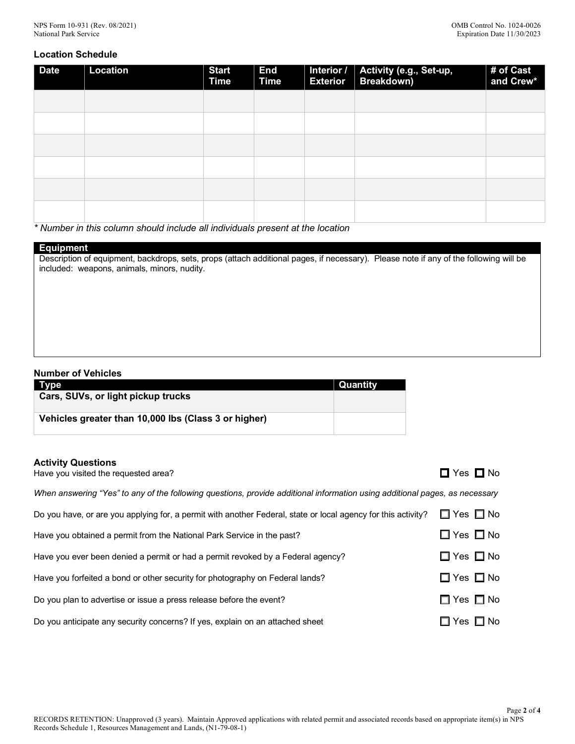# **Location Schedule**

| <b>Date</b> | <b>Location</b> | <b>Start</b><br><b>Time</b> | <b>End</b><br><b>Time</b> | <b>Exterior</b> | Interior / Activity (e.g., Set-up,<br>Breakdown) | $#$ of Cast<br>and Crew* |
|-------------|-----------------|-----------------------------|---------------------------|-----------------|--------------------------------------------------|--------------------------|
|             |                 |                             |                           |                 |                                                  |                          |
|             |                 |                             |                           |                 |                                                  |                          |
|             |                 |                             |                           |                 |                                                  |                          |
|             |                 |                             |                           |                 |                                                  |                          |
|             |                 |                             |                           |                 |                                                  |                          |
|             |                 |                             |                           |                 |                                                  |                          |

*\* Number in this column should include all individuals present at the location* 

# **Equipment**

 Description of equipment, backdrops, sets, props (attach additional pages, if necessary). Please note if any of the following will be included: weapons, animals, minors, nudity.

## **Number of Vehicles**

| <b>Type</b>                                          | Quantity |
|------------------------------------------------------|----------|
| Cars, SUVs, or light pickup trucks                   |          |
| Vehicles greater than 10,000 lbs (Class 3 or higher) |          |

## **Activity Questions**

| Have you visited the requested area?                                                                                        | $\Box$ Yes $\Box$ No       |
|-----------------------------------------------------------------------------------------------------------------------------|----------------------------|
| When answering "Yes" to any of the following questions, provide additional information using additional pages, as necessary |                            |
| Do you have, or are you applying for, a permit with another Federal, state or local agency for this activity?               | $\Box$ Yes $\Box$ No       |
| Have you obtained a permit from the National Park Service in the past?                                                      | $\Box$ Yes $\Box$ No       |
| Have you ever been denied a permit or had a permit revoked by a Federal agency?                                             | $\Box$ Yes $\Box$ No       |
| Have you forfeited a bond or other security for photography on Federal lands?                                               | $\Box$ Yes $\Box$ No       |
| Do you plan to advertise or issue a press release before the event?                                                         | $\Box$ Yes $\Box$ No       |
| Do you anticipate any security concerns? If yes, explain on an attached sheet                                               | $\square$ Yes $\square$ No |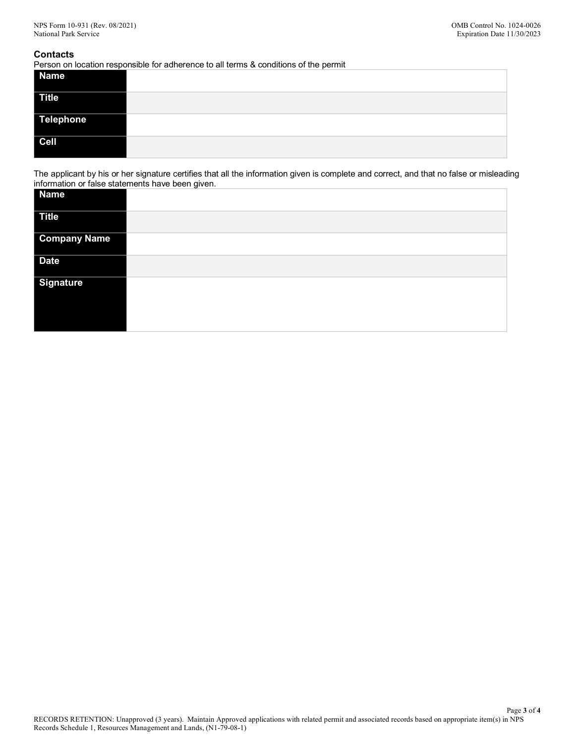### **Contacts**

Person on location responsible for adherence to all terms & conditions of the permit

| <b>Name</b>  |  |
|--------------|--|
| <b>Title</b> |  |
| Telephone    |  |
| $ $ Cell     |  |

 The applicant by his or her signature certifies that all the information given is complete and correct, and that no false or misleading information or false statements have been given.

| Name                |  |
|---------------------|--|
| <b>Title</b>        |  |
| <b>Company Name</b> |  |
| <b>Date</b>         |  |
| <b>Signature</b>    |  |